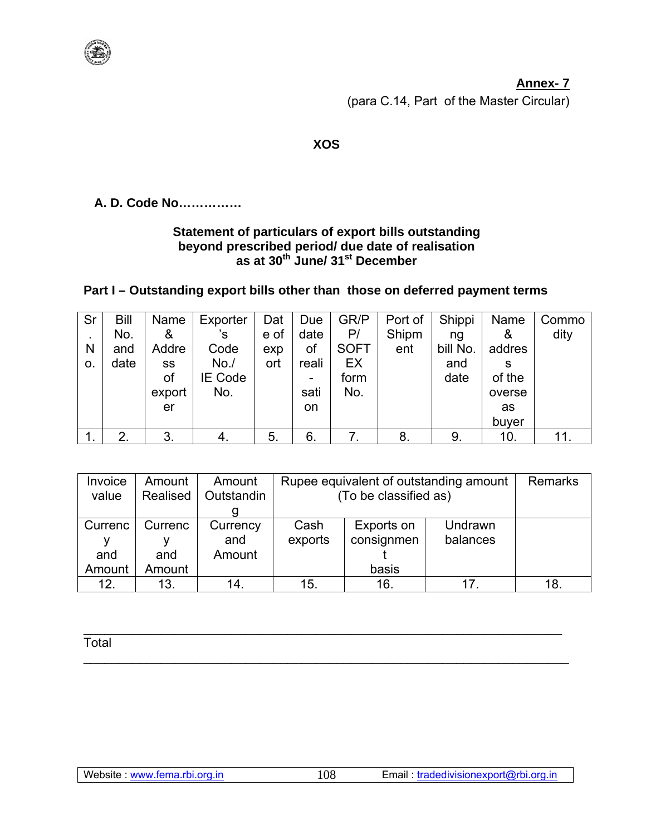#### **Annex-7**

(para C.14, Part of the Master Circular)

### **XOS**

### A. D. Code No...............

# Statement of particulars of export bills outstanding<br>beyond prescribed period/ due date of realisation<br>as at 30<sup>th</sup> June/ 31<sup>st</sup> December

### Part I - Outstanding export bills other than those on deferred payment terms

| Sr             | Bill | Name   | Exporter | Dat  | Due   | GR/P        | Port of | Shippi   | Name   | Commo |
|----------------|------|--------|----------|------|-------|-------------|---------|----------|--------|-------|
| $\blacksquare$ | No.  | &      | 's       | e of | date  | P/          | Shipm   | ng       | &      | dity  |
| N              | and  | Addre  | Code     | exp  | οf    | <b>SOFT</b> | ent     | bill No. | addres |       |
| 0.             | date | SS     | No.      | ort  | reali | EX          |         | and      | S      |       |
|                |      | οf     | IE Code  |      | -     | form        |         | date     | of the |       |
|                |      | export | No.      |      | sati  | No.         |         |          | overse |       |
|                |      | er     |          |      | on    |             |         |          | as     |       |
|                |      |        |          |      |       |             |         |          | buyer  |       |
|                | 2    | 3.     |          | 5.   | 6.    |             | 8.      | 9.       | 10.    | 11.   |

| Invoice | Amount   | Amount     | Rupee equivalent of outstanding amount | <b>Remarks</b> |          |     |
|---------|----------|------------|----------------------------------------|----------------|----------|-----|
| value   | Realised | Outstandin | (To be classified as)                  |                |          |     |
|         |          |            |                                        |                |          |     |
| Currenc | Currenc  | Currency   | Cash                                   | Exports on     | Undrawn  |     |
|         |          | and        | exports                                | consignmen     | balances |     |
| and     | and      | Amount     |                                        |                |          |     |
| Amount  | Amount   |            |                                        | basis          |          |     |
| 12.     | 13.      | 14.        | 15.                                    | 16.            |          | 18. |

Total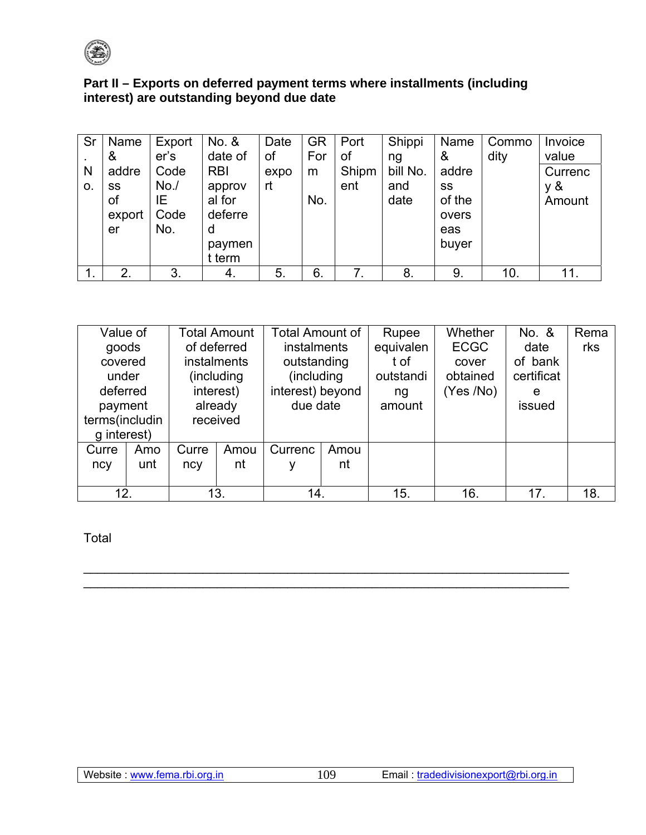

## Part II - Exports on deferred payment terms where installments (including interest) are outstanding beyond due date

| Sr | Name   | Export | No. &      | Date | <b>GR</b> | Port  | Shippi   | Name   | Commo | Invoice |
|----|--------|--------|------------|------|-----------|-------|----------|--------|-------|---------|
|    | &      | er's   | date of    | of   | For       | οf    | ng       | &      | dity  | value   |
| N  | addre  | Code   | <b>RBI</b> | expo | m         | Shipm | bill No. | addre  |       | Currenc |
| 0. | SS     | No.    | approv     | rt   |           | ent   | and      | SS     |       | y &     |
|    | 0f     | ΙE     | al for     |      | No.       |       | date     | of the |       | Amount  |
|    | export | Code   | deferre    |      |           |       |          | overs  |       |         |
|    | er     | No.    | d          |      |           |       |          | eas    |       |         |
|    |        |        | paymen     |      |           |       |          | buyer  |       |         |
|    |        |        | t term     |      |           |       |          |        |       |         |
| ι. | 2.     | 3.     | 4.         | 5.   | 6.        | 7.    | 8.       | 9.     | 10.   | 11.     |

| Value of<br>goods<br>covered<br>under |     | <b>Total Amount</b><br>of deferred<br><b>instalments</b><br>(including<br>interest) |      | <b>Total Amount of</b><br>instalments<br>outstanding<br>(including)<br>interest) beyond |      | Rupee<br>equivalen<br>t of<br>outstandi | Whether<br><b>ECGC</b><br>cover<br>obtained | No. &<br>date<br>of bank<br>certificat | Rema<br>rks |
|---------------------------------------|-----|-------------------------------------------------------------------------------------|------|-----------------------------------------------------------------------------------------|------|-----------------------------------------|---------------------------------------------|----------------------------------------|-------------|
| deferred<br>payment<br>terms(includin |     | already<br>received                                                                 |      | due date                                                                                |      | ng<br>amount                            | (Yes/No)                                    | e<br>issued                            |             |
| g interest)                           |     |                                                                                     |      |                                                                                         |      |                                         |                                             |                                        |             |
| Curre                                 | Amo | Curre                                                                               | Amou | Currenc                                                                                 | Amou |                                         |                                             |                                        |             |
| ncy                                   | unt | ncy                                                                                 | nt   | ۷                                                                                       | nt   |                                         |                                             |                                        |             |
|                                       |     |                                                                                     |      |                                                                                         |      |                                         |                                             |                                        |             |
| 12.                                   |     | 13.                                                                                 |      | 14.                                                                                     |      | 15.                                     | 16.                                         | 17.                                    | 18.         |

109

Total